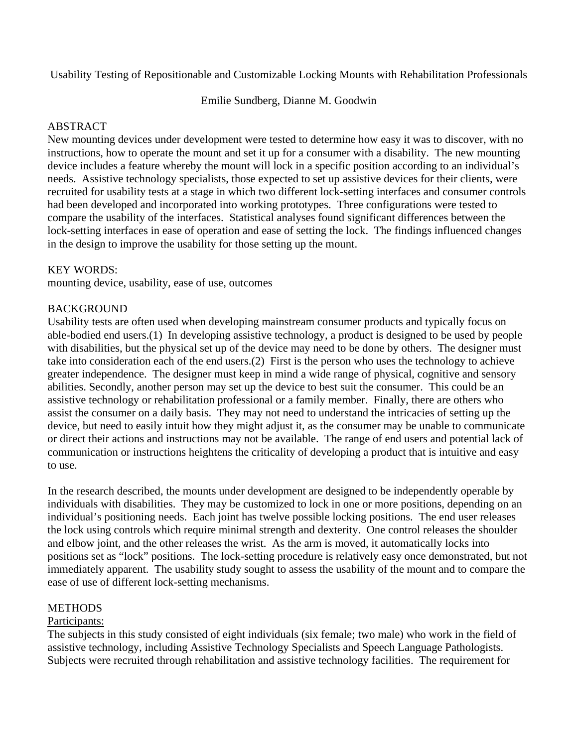Usability Testing of Repositionable and Customizable Locking Mounts with Rehabilitation Professionals

Emilie Sundberg, Dianne M. Goodwin

## ABSTRACT

New mounting devices under development were tested to determine how easy it was to discover, with no instructions, how to operate the mount and set it up for a consumer with a disability. The new mounting device includes a feature whereby the mount will lock in a specific position according to an individual's needs. Assistive technology specialists, those expected to set up assistive devices for their clients, were recruited for usability tests at a stage in which two different lock-setting interfaces and consumer controls had been developed and incorporated into working prototypes. Three configurations were tested to compare the usability of the interfaces. Statistical analyses found significant differences between the lock-setting interfaces in ease of operation and ease of setting the lock. The findings influenced changes in the design to improve the usability for those setting up the mount.

### KEY WORDS:

mounting device, usability, ease of use, outcomes

### **BACKGROUND**

Usability tests are often used when developing mainstream consumer products and typically focus on able-bodied end users.(1) In developing assistive technology, a product is designed to be used by people with disabilities, but the physical set up of the device may need to be done by others. The designer must take into consideration each of the end users.(2) First is the person who uses the technology to achieve greater independence. The designer must keep in mind a wide range of physical, cognitive and sensory abilities. Secondly, another person may set up the device to best suit the consumer. This could be an assistive technology or rehabilitation professional or a family member. Finally, there are others who assist the consumer on a daily basis. They may not need to understand the intricacies of setting up the device, but need to easily intuit how they might adjust it, as the consumer may be unable to communicate or direct their actions and instructions may not be available. The range of end users and potential lack of communication or instructions heightens the criticality of developing a product that is intuitive and easy to use.

In the research described, the mounts under development are designed to be independently operable by individuals with disabilities. They may be customized to lock in one or more positions, depending on an individual's positioning needs. Each joint has twelve possible locking positions. The end user releases the lock using controls which require minimal strength and dexterity. One control releases the shoulder and elbow joint, and the other releases the wrist. As the arm is moved, it automatically locks into positions set as "lock" positions. The lock-setting procedure is relatively easy once demonstrated, but not immediately apparent. The usability study sought to assess the usability of the mount and to compare the ease of use of different lock-setting mechanisms.

## **METHODS**

#### Participants:

The subjects in this study consisted of eight individuals (six female; two male) who work in the field of assistive technology, including Assistive Technology Specialists and Speech Language Pathologists. Subjects were recruited through rehabilitation and assistive technology facilities. The requirement for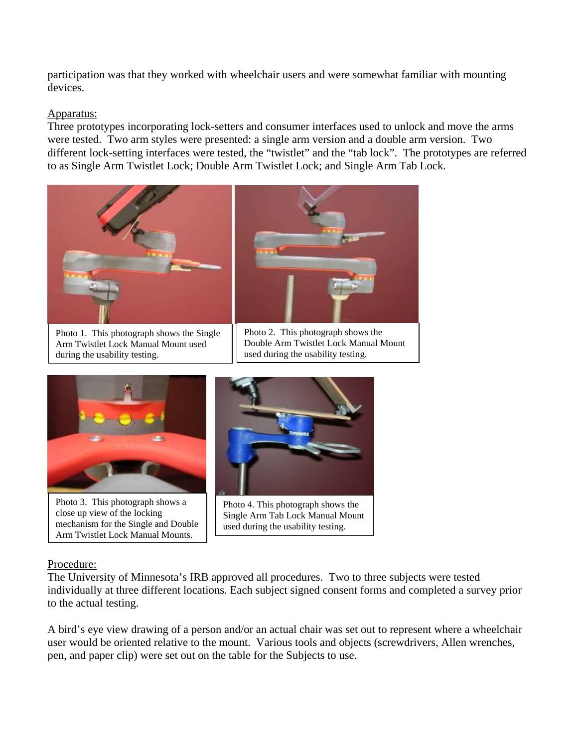participation was that they worked with wheelchair users and were somewhat familiar with mounting devices.

## Apparatus:

Three prototypes incorporating lock-setters and consumer interfaces used to unlock and move the arms were tested. Two arm styles were presented: a single arm version and a double arm version. Two different lock-setting interfaces were tested, the "twistlet" and the "tab lock". The prototypes are referred to as Single Arm Twistlet Lock; Double Arm Twistlet Lock; and Single Arm Tab Lock.



Photo 1. This photograph shows the Single Arm Twistlet Lock Manual Mount used during the usability testing.



 $\overline{\phantom{a}}$ 



Photo 3. This photograph shows a close up view of the locking mechanism for the Single and Double Arm Twistlet Lock Manual Mounts.



Photo 4. This photograph shows the Single Arm Tab Lock Manual Mount used during the usability testing.

## Procedure:

The University of Minnesota's IRB approved all procedures. Two to three subjects were tested individually at three different locations. Each subject signed consent forms and completed a survey prior to the actual testing.

A bird's eye view drawing of a person and/or an actual chair was set out to represent where a wheelchair user would be oriented relative to the mount. Various tools and objects (screwdrivers, Allen wrenches, pen, and paper clip) were set out on the table for the Subjects to use.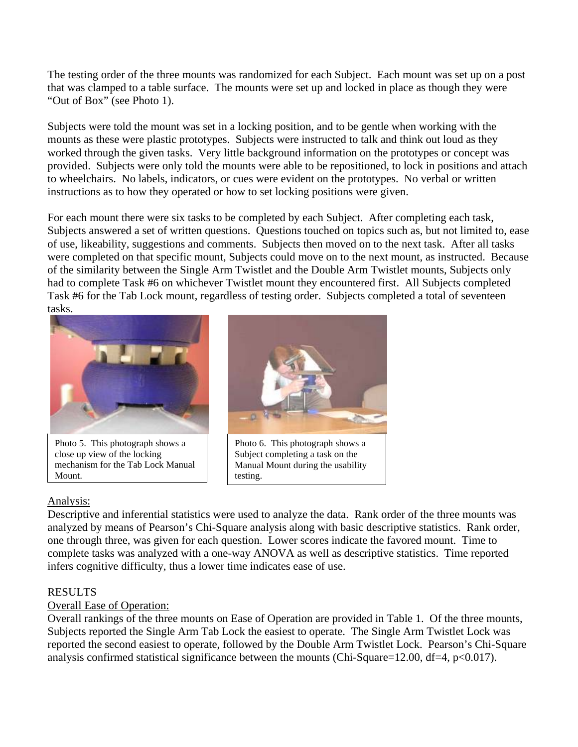The testing order of the three mounts was randomized for each Subject. Each mount was set up on a post that was clamped to a table surface. The mounts were set up and locked in place as though they were "Out of Box" (see Photo 1).

Subjects were told the mount was set in a locking position, and to be gentle when working with the mounts as these were plastic prototypes. Subjects were instructed to talk and think out loud as they worked through the given tasks. Very little background information on the prototypes or concept was provided. Subjects were only told the mounts were able to be repositioned, to lock in positions and attach to wheelchairs. No labels, indicators, or cues were evident on the prototypes. No verbal or written instructions as to how they operated or how to set locking positions were given.

For each mount there were six tasks to be completed by each Subject. After completing each task, Subjects answered a set of written questions. Questions touched on topics such as, but not limited to, ease of use, likeability, suggestions and comments. Subjects then moved on to the next task. After all tasks were completed on that specific mount, Subjects could move on to the next mount, as instructed. Because of the similarity between the Single Arm Twistlet and the Double Arm Twistlet mounts, Subjects only had to complete Task #6 on whichever Twistlet mount they encountered first. All Subjects completed Task #6 for the Tab Lock mount, regardless of testing order. Subjects completed a total of seventeen tasks.



Photo 5. This photograph shows a close up view of the locking mechanism for the Tab Lock Manual Mount.

## Analysis:



Photo 6. This photograph shows a Subject completing a task on the Manual Mount during the usability testing.

Descriptive and inferential statistics were used to analyze the data. Rank order of the three mounts was analyzed by means of Pearson's Chi-Square analysis along with basic descriptive statistics. Rank order, one through three, was given for each question. Lower scores indicate the favored mount. Time to complete tasks was analyzed with a one-way ANOVA as well as descriptive statistics. Time reported infers cognitive difficulty, thus a lower time indicates ease of use.

## RESULTS

# Overall Ease of Operation:

Overall rankings of the three mounts on Ease of Operation are provided in Table 1. Of the three mounts, Subjects reported the Single Arm Tab Lock the easiest to operate. The Single Arm Twistlet Lock was reported the second easiest to operate, followed by the Double Arm Twistlet Lock. Pearson's Chi-Square analysis confirmed statistical significance between the mounts (Chi-Square=12.00, df=4,  $p<0.017$ ).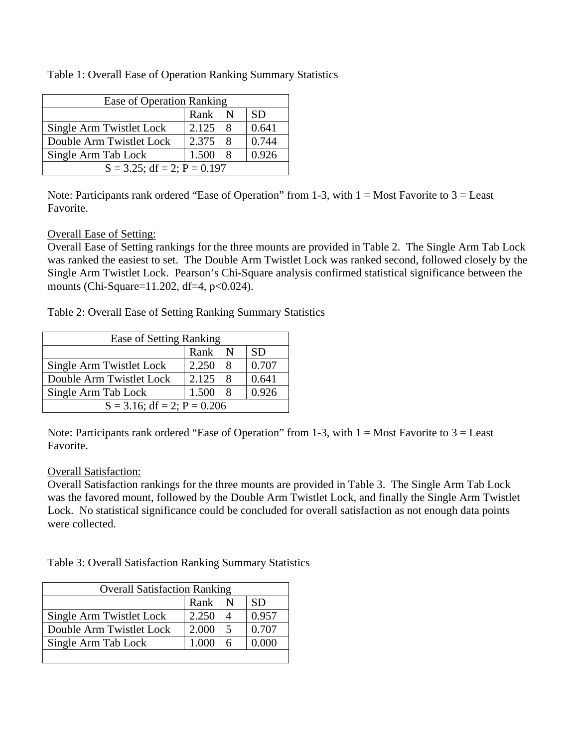| Ease of Operation Ranking      |       |   |           |
|--------------------------------|-------|---|-----------|
|                                | Rank  |   | <b>SD</b> |
| Single Arm Twistlet Lock       | 2.125 | 8 | 0.641     |
| Double Arm Twistlet Lock       | 2.375 | 8 | 0.744     |
| Single Arm Tab Lock            | 1.500 |   | 0.926     |
| $S = 3.25$ ; df = 2; P = 0.197 |       |   |           |

Table 1: Overall Ease of Operation Ranking Summary Statistics

Note: Participants rank ordered "Ease of Operation" from 1-3, with  $1 = Most$  Favorite to  $3 = Least$ Favorite.

### Overall Ease of Setting:

Overall Ease of Setting rankings for the three mounts are provided in Table 2. The Single Arm Tab Lock was ranked the easiest to set. The Double Arm Twistlet Lock was ranked second, followed closely by the Single Arm Twistlet Lock. Pearson's Chi-Square analysis confirmed statistical significance between the mounts (Chi-Square=11.202, df=4, p<0.024).

Table 2: Overall Ease of Setting Ranking Summary Statistics

| Ease of Setting Ranking        |       |   |           |
|--------------------------------|-------|---|-----------|
|                                | Rank  | N | <b>SD</b> |
| Single Arm Twistlet Lock       | 2.250 | 8 | 0.707     |
| Double Arm Twistlet Lock       | 2.125 | 8 | 0.641     |
| Single Arm Tab Lock            | 1.500 | 8 | 0.926     |
| $S = 3.16$ ; df = 2; P = 0.206 |       |   |           |

Note: Participants rank ordered "Ease of Operation" from 1-3, with  $1 = Most$  Favorite to  $3 = Least$ Favorite.

#### Overall Satisfaction:

Overall Satisfaction rankings for the three mounts are provided in Table 3. The Single Arm Tab Lock was the favored mount, followed by the Double Arm Twistlet Lock, and finally the Single Arm Twistlet Lock. No statistical significance could be concluded for overall satisfaction as not enough data points were collected.

Table 3: Overall Satisfaction Ranking Summary Statistics

| <b>Overall Satisfaction Ranking</b> |       |                         |           |
|-------------------------------------|-------|-------------------------|-----------|
|                                     | Rank  | N                       | <b>SD</b> |
| Single Arm Twistlet Lock            | 2.250 | 4                       | 0.957     |
| Double Arm Twistlet Lock            | 2.000 | $\overline{\mathbf{5}}$ | 0.707     |
| Single Arm Tab Lock                 | 1.000 | 6                       | 0.000     |
|                                     |       |                         |           |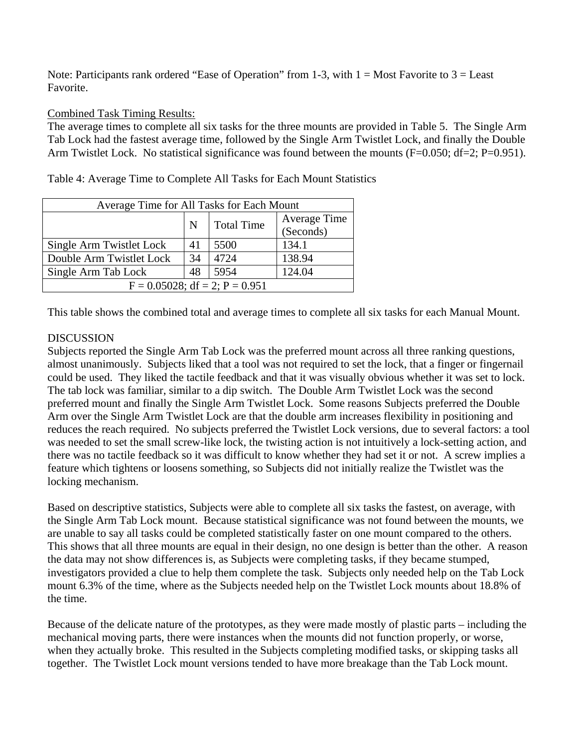Note: Participants rank ordered "Ease of Operation" from 1-3, with  $1 = Most$  Favorite to  $3 = Least$ Favorite.

### Combined Task Timing Results:

The average times to complete all six tasks for the three mounts are provided in Table 5. The Single Arm Tab Lock had the fastest average time, followed by the Single Arm Twistlet Lock, and finally the Double Arm Twistlet Lock. No statistical significance was found between the mounts (F=0.050; df=2; P=0.951).

Table 4: Average Time to Complete All Tasks for Each Mount Statistics

| Average Time for All Tasks for Each Mount |    |                   |                                  |  |
|-------------------------------------------|----|-------------------|----------------------------------|--|
|                                           | N  | <b>Total Time</b> | <b>Average Time</b><br>(Seconds) |  |
| Single Arm Twistlet Lock                  | 41 | 5500              | 134.1                            |  |
| Double Arm Twistlet Lock                  | 34 | 4724              | 138.94                           |  |
| Single Arm Tab Lock                       | 48 | 5954              | 124.04                           |  |
| $F = 0.05028$ ; df = 2; P = 0.951         |    |                   |                                  |  |

This table shows the combined total and average times to complete all six tasks for each Manual Mount.

## **DISCUSSION**

Subjects reported the Single Arm Tab Lock was the preferred mount across all three ranking questions, almost unanimously. Subjects liked that a tool was not required to set the lock, that a finger or fingernail could be used. They liked the tactile feedback and that it was visually obvious whether it was set to lock. The tab lock was familiar, similar to a dip switch. The Double Arm Twistlet Lock was the second preferred mount and finally the Single Arm Twistlet Lock. Some reasons Subjects preferred the Double Arm over the Single Arm Twistlet Lock are that the double arm increases flexibility in positioning and reduces the reach required. No subjects preferred the Twistlet Lock versions, due to several factors: a tool was needed to set the small screw-like lock, the twisting action is not intuitively a lock-setting action, and there was no tactile feedback so it was difficult to know whether they had set it or not. A screw implies a feature which tightens or loosens something, so Subjects did not initially realize the Twistlet was the locking mechanism.

Based on descriptive statistics, Subjects were able to complete all six tasks the fastest, on average, with the Single Arm Tab Lock mount. Because statistical significance was not found between the mounts, we are unable to say all tasks could be completed statistically faster on one mount compared to the others. This shows that all three mounts are equal in their design, no one design is better than the other. A reason the data may not show differences is, as Subjects were completing tasks, if they became stumped, investigators provided a clue to help them complete the task. Subjects only needed help on the Tab Lock mount 6.3% of the time, where as the Subjects needed help on the Twistlet Lock mounts about 18.8% of the time.

Because of the delicate nature of the prototypes, as they were made mostly of plastic parts – including the mechanical moving parts, there were instances when the mounts did not function properly, or worse, when they actually broke. This resulted in the Subjects completing modified tasks, or skipping tasks all together. The Twistlet Lock mount versions tended to have more breakage than the Tab Lock mount.